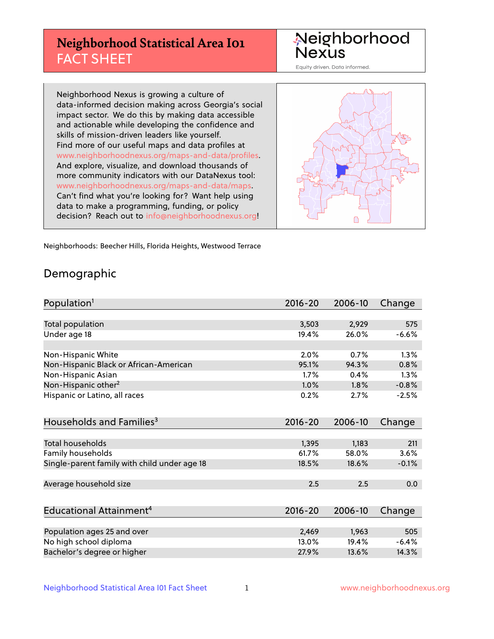## **Neighborhood Statistical Area I01** FACT SHEET

Neighborhood Nexus

Equity driven. Data informed.

Neighborhood Nexus is growing a culture of data-informed decision making across Georgia's social impact sector. We do this by making data accessible and actionable while developing the confidence and skills of mission-driven leaders like yourself. Find more of our useful maps and data profiles at www.neighborhoodnexus.org/maps-and-data/profiles. And explore, visualize, and download thousands of more community indicators with our DataNexus tool: www.neighborhoodnexus.org/maps-and-data/maps. Can't find what you're looking for? Want help using data to make a programming, funding, or policy decision? Reach out to [info@neighborhoodnexus.org!](mailto:info@neighborhoodnexus.org)



Neighborhoods: Beecher Hills, Florida Heights, Westwood Terrace

### Demographic

| Population <sup>1</sup>                      | $2016 - 20$ | 2006-10 | Change  |
|----------------------------------------------|-------------|---------|---------|
|                                              |             |         |         |
| Total population                             | 3,503       | 2,929   | 575     |
| Under age 18                                 | 19.4%       | 26.0%   | $-6.6%$ |
|                                              |             |         |         |
| Non-Hispanic White                           | 2.0%        | 0.7%    | 1.3%    |
| Non-Hispanic Black or African-American       | 95.1%       | 94.3%   | 0.8%    |
| Non-Hispanic Asian                           | 1.7%        | 0.4%    | 1.3%    |
| Non-Hispanic other <sup>2</sup>              | 1.0%        | 1.8%    | $-0.8%$ |
| Hispanic or Latino, all races                | 0.2%        | 2.7%    | $-2.5%$ |
|                                              |             |         |         |
| Households and Families <sup>3</sup>         | $2016 - 20$ | 2006-10 | Change  |
|                                              |             |         |         |
| <b>Total households</b>                      | 1,395       | 1,183   | 211     |
| Family households                            | 61.7%       | 58.0%   | 3.6%    |
| Single-parent family with child under age 18 | 18.5%       | 18.6%   | $-0.1%$ |
|                                              |             |         |         |
| Average household size                       | 2.5         | 2.5     | 0.0     |
|                                              |             |         |         |
| Educational Attainment <sup>4</sup>          | $2016 - 20$ | 2006-10 | Change  |
|                                              |             |         |         |
| Population ages 25 and over                  | 2,469       | 1,963   | 505     |
| No high school diploma                       | 13.0%       | 19.4%   | $-6.4%$ |
| Bachelor's degree or higher                  | 27.9%       | 13.6%   | 14.3%   |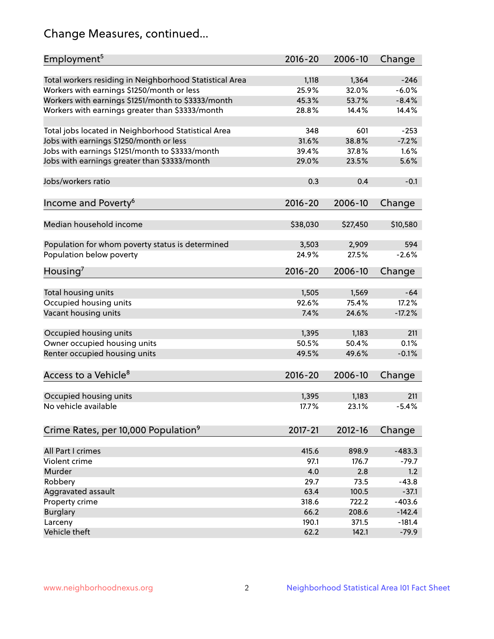## Change Measures, continued...

| Employment <sup>5</sup>                                 | $2016 - 20$ | 2006-10  | Change   |
|---------------------------------------------------------|-------------|----------|----------|
| Total workers residing in Neighborhood Statistical Area | 1,118       | 1,364    | $-246$   |
| Workers with earnings \$1250/month or less              | 25.9%       | 32.0%    | $-6.0%$  |
| Workers with earnings \$1251/month to \$3333/month      | 45.3%       | 53.7%    | $-8.4%$  |
| Workers with earnings greater than \$3333/month         | 28.8%       | 14.4%    | 14.4%    |
|                                                         |             |          |          |
| Total jobs located in Neighborhood Statistical Area     | 348         | 601      | $-253$   |
| Jobs with earnings \$1250/month or less                 | 31.6%       | 38.8%    | $-7.2%$  |
| Jobs with earnings \$1251/month to \$3333/month         | 39.4%       | 37.8%    | 1.6%     |
| Jobs with earnings greater than \$3333/month            | 29.0%       | 23.5%    | 5.6%     |
|                                                         |             |          |          |
| Jobs/workers ratio                                      | 0.3         | 0.4      | $-0.1$   |
|                                                         |             |          |          |
| Income and Poverty <sup>6</sup>                         | $2016 - 20$ | 2006-10  | Change   |
|                                                         |             |          |          |
| Median household income                                 | \$38,030    | \$27,450 | \$10,580 |
|                                                         |             |          |          |
| Population for whom poverty status is determined        | 3,503       | 2,909    | 594      |
| Population below poverty                                | 24.9%       | 27.5%    | $-2.6%$  |
|                                                         | $2016 - 20$ | 2006-10  | Change   |
| Housing'                                                |             |          |          |
| Total housing units                                     | 1,505       | 1,569    | $-64$    |
| Occupied housing units                                  | 92.6%       | 75.4%    | 17.2%    |
| Vacant housing units                                    | 7.4%        | 24.6%    | $-17.2%$ |
|                                                         |             |          |          |
| Occupied housing units                                  | 1,395       | 1,183    | 211      |
| Owner occupied housing units                            | 50.5%       | 50.4%    | 0.1%     |
| Renter occupied housing units                           | 49.5%       | 49.6%    | $-0.1%$  |
|                                                         |             |          |          |
| Access to a Vehicle <sup>8</sup>                        | $2016 - 20$ | 2006-10  | Change   |
|                                                         |             |          |          |
| Occupied housing units                                  | 1,395       | 1,183    | 211      |
| No vehicle available                                    | 17.7%       | 23.1%    | $-5.4%$  |
|                                                         |             |          |          |
| Crime Rates, per 10,000 Population <sup>9</sup>         | 2017-21     | 2012-16  | Change   |
|                                                         |             |          |          |
| All Part I crimes                                       | 415.6       | 898.9    | $-483.3$ |
| Violent crime                                           | 97.1        | 176.7    | $-79.7$  |
| Murder                                                  | 4.0         | 2.8      | 1.2      |
| Robbery                                                 | 29.7        | 73.5     | $-43.8$  |
| Aggravated assault                                      | 63.4        | 100.5    | $-37.1$  |
| Property crime                                          | 318.6       | 722.2    | $-403.6$ |
| <b>Burglary</b>                                         | 66.2        | 208.6    | $-142.4$ |
| Larceny                                                 | 190.1       | 371.5    | $-181.4$ |
| Vehicle theft                                           | 62.2        | 142.1    | $-79.9$  |
|                                                         |             |          |          |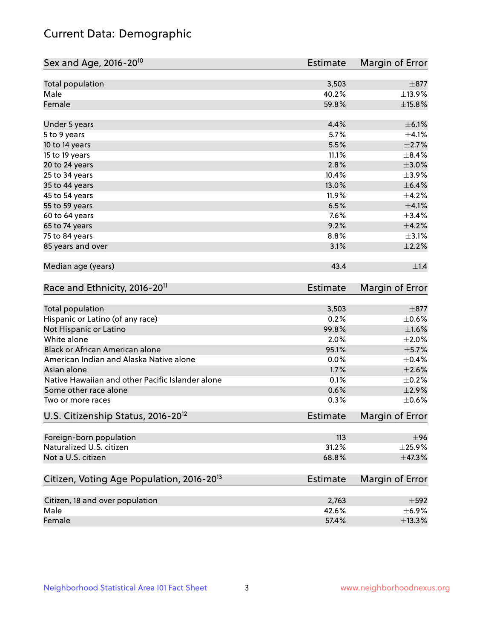## Current Data: Demographic

| Total population<br>3,503<br>$\pm$ 877<br>Male<br>40.2%<br>Female<br>59.8%<br>4.4%<br>$\pm$ 6.1%<br>Under 5 years<br>5.7%<br>5 to 9 years<br>5.5%<br>10 to 14 years<br>11.1%<br>15 to 19 years<br>2.8%<br>20 to 24 years<br>10.4%<br>25 to 34 years<br>35 to 44 years<br>13.0%<br>11.9%<br>45 to 54 years<br>6.5%<br>55 to 59 years<br>7.6%<br>60 to 64 years<br>9.2%<br>$\pm$ 4.2%<br>65 to 74 years<br>8.8%<br>75 to 84 years<br>85 years and over<br>3.1%<br>Median age (years)<br>43.4<br>Race and Ethnicity, 2016-20 <sup>11</sup><br><b>Estimate</b><br>Total population<br>3,503<br>Hispanic or Latino (of any race)<br>0.2%<br>Not Hispanic or Latino<br>99.8%<br>White alone<br>2.0%<br>Black or African American alone<br>95.1%<br>American Indian and Alaska Native alone<br>0.0%<br>Asian alone<br>1.7%<br>Native Hawaiian and other Pacific Islander alone<br>0.1%<br>Some other race alone<br>0.6%<br>0.3%<br>Two or more races<br>U.S. Citizenship Status, 2016-20 <sup>12</sup><br><b>Estimate</b><br>Foreign-born population<br>113<br>Naturalized U.S. citizen<br>31.2%<br>Not a U.S. citizen<br>68.8%<br>Citizen, Voting Age Population, 2016-20 <sup>13</sup><br>Estimate<br>Citizen, 18 and over population<br>2,763<br>Male<br>42.6% | Sex and Age, 2016-20 <sup>10</sup> | <b>Estimate</b> | Margin of Error |
|------------------------------------------------------------------------------------------------------------------------------------------------------------------------------------------------------------------------------------------------------------------------------------------------------------------------------------------------------------------------------------------------------------------------------------------------------------------------------------------------------------------------------------------------------------------------------------------------------------------------------------------------------------------------------------------------------------------------------------------------------------------------------------------------------------------------------------------------------------------------------------------------------------------------------------------------------------------------------------------------------------------------------------------------------------------------------------------------------------------------------------------------------------------------------------------------------------------------------------------------------------|------------------------------------|-----------------|-----------------|
| ±13.9%<br>$\pm$ 15.8%<br>$\pm 4.1\%$<br>$\pm 2.7\%$<br>$\pm 3.0\%$<br>$\pm$ 6.4%<br>$\pm 4.1\%$<br>±3.4%<br>$\pm 1.4$<br>$\pm$ 877<br>$\pm$ 0.6%<br>$\pm1.6\%$<br>$\pm 2.0\%$<br>$\pm$ 5.7%<br>$\pm$ 0.4%<br>$\pm 2.6\%$<br>$\pm$ 0.2%<br>$\pm 2.9\%$<br>$\pm$ 0.6%<br>$\pm$ 96<br>$\pm$ 25.9%<br>±47.3%<br>$\pm 592$<br>$\pm$ 6.9%                                                                                                                                                                                                                                                                                                                                                                                                                                                                                                                                                                                                                                                                                                                                                                                                                                                                                                                        |                                    |                 |                 |
|                                                                                                                                                                                                                                                                                                                                                                                                                                                                                                                                                                                                                                                                                                                                                                                                                                                                                                                                                                                                                                                                                                                                                                                                                                                            |                                    |                 |                 |
|                                                                                                                                                                                                                                                                                                                                                                                                                                                                                                                                                                                                                                                                                                                                                                                                                                                                                                                                                                                                                                                                                                                                                                                                                                                            |                                    |                 |                 |
|                                                                                                                                                                                                                                                                                                                                                                                                                                                                                                                                                                                                                                                                                                                                                                                                                                                                                                                                                                                                                                                                                                                                                                                                                                                            |                                    |                 |                 |
|                                                                                                                                                                                                                                                                                                                                                                                                                                                                                                                                                                                                                                                                                                                                                                                                                                                                                                                                                                                                                                                                                                                                                                                                                                                            |                                    |                 |                 |
|                                                                                                                                                                                                                                                                                                                                                                                                                                                                                                                                                                                                                                                                                                                                                                                                                                                                                                                                                                                                                                                                                                                                                                                                                                                            |                                    |                 |                 |
|                                                                                                                                                                                                                                                                                                                                                                                                                                                                                                                                                                                                                                                                                                                                                                                                                                                                                                                                                                                                                                                                                                                                                                                                                                                            |                                    |                 | $\pm$ 8.4%      |
|                                                                                                                                                                                                                                                                                                                                                                                                                                                                                                                                                                                                                                                                                                                                                                                                                                                                                                                                                                                                                                                                                                                                                                                                                                                            |                                    |                 |                 |
|                                                                                                                                                                                                                                                                                                                                                                                                                                                                                                                                                                                                                                                                                                                                                                                                                                                                                                                                                                                                                                                                                                                                                                                                                                                            |                                    |                 | $\pm$ 3.9%      |
|                                                                                                                                                                                                                                                                                                                                                                                                                                                                                                                                                                                                                                                                                                                                                                                                                                                                                                                                                                                                                                                                                                                                                                                                                                                            |                                    |                 |                 |
|                                                                                                                                                                                                                                                                                                                                                                                                                                                                                                                                                                                                                                                                                                                                                                                                                                                                                                                                                                                                                                                                                                                                                                                                                                                            |                                    |                 | $\pm$ 4.2%      |
|                                                                                                                                                                                                                                                                                                                                                                                                                                                                                                                                                                                                                                                                                                                                                                                                                                                                                                                                                                                                                                                                                                                                                                                                                                                            |                                    |                 |                 |
|                                                                                                                                                                                                                                                                                                                                                                                                                                                                                                                                                                                                                                                                                                                                                                                                                                                                                                                                                                                                                                                                                                                                                                                                                                                            |                                    |                 |                 |
|                                                                                                                                                                                                                                                                                                                                                                                                                                                                                                                                                                                                                                                                                                                                                                                                                                                                                                                                                                                                                                                                                                                                                                                                                                                            |                                    |                 |                 |
|                                                                                                                                                                                                                                                                                                                                                                                                                                                                                                                                                                                                                                                                                                                                                                                                                                                                                                                                                                                                                                                                                                                                                                                                                                                            |                                    |                 | $\pm$ 3.1%      |
|                                                                                                                                                                                                                                                                                                                                                                                                                                                                                                                                                                                                                                                                                                                                                                                                                                                                                                                                                                                                                                                                                                                                                                                                                                                            |                                    |                 | $\pm 2.2\%$     |
|                                                                                                                                                                                                                                                                                                                                                                                                                                                                                                                                                                                                                                                                                                                                                                                                                                                                                                                                                                                                                                                                                                                                                                                                                                                            |                                    |                 |                 |
|                                                                                                                                                                                                                                                                                                                                                                                                                                                                                                                                                                                                                                                                                                                                                                                                                                                                                                                                                                                                                                                                                                                                                                                                                                                            |                                    |                 | Margin of Error |
|                                                                                                                                                                                                                                                                                                                                                                                                                                                                                                                                                                                                                                                                                                                                                                                                                                                                                                                                                                                                                                                                                                                                                                                                                                                            |                                    |                 |                 |
|                                                                                                                                                                                                                                                                                                                                                                                                                                                                                                                                                                                                                                                                                                                                                                                                                                                                                                                                                                                                                                                                                                                                                                                                                                                            |                                    |                 |                 |
|                                                                                                                                                                                                                                                                                                                                                                                                                                                                                                                                                                                                                                                                                                                                                                                                                                                                                                                                                                                                                                                                                                                                                                                                                                                            |                                    |                 |                 |
|                                                                                                                                                                                                                                                                                                                                                                                                                                                                                                                                                                                                                                                                                                                                                                                                                                                                                                                                                                                                                                                                                                                                                                                                                                                            |                                    |                 |                 |
|                                                                                                                                                                                                                                                                                                                                                                                                                                                                                                                                                                                                                                                                                                                                                                                                                                                                                                                                                                                                                                                                                                                                                                                                                                                            |                                    |                 |                 |
|                                                                                                                                                                                                                                                                                                                                                                                                                                                                                                                                                                                                                                                                                                                                                                                                                                                                                                                                                                                                                                                                                                                                                                                                                                                            |                                    |                 |                 |
|                                                                                                                                                                                                                                                                                                                                                                                                                                                                                                                                                                                                                                                                                                                                                                                                                                                                                                                                                                                                                                                                                                                                                                                                                                                            |                                    |                 |                 |
|                                                                                                                                                                                                                                                                                                                                                                                                                                                                                                                                                                                                                                                                                                                                                                                                                                                                                                                                                                                                                                                                                                                                                                                                                                                            |                                    |                 |                 |
|                                                                                                                                                                                                                                                                                                                                                                                                                                                                                                                                                                                                                                                                                                                                                                                                                                                                                                                                                                                                                                                                                                                                                                                                                                                            |                                    |                 |                 |
|                                                                                                                                                                                                                                                                                                                                                                                                                                                                                                                                                                                                                                                                                                                                                                                                                                                                                                                                                                                                                                                                                                                                                                                                                                                            |                                    |                 |                 |
|                                                                                                                                                                                                                                                                                                                                                                                                                                                                                                                                                                                                                                                                                                                                                                                                                                                                                                                                                                                                                                                                                                                                                                                                                                                            |                                    |                 | Margin of Error |
|                                                                                                                                                                                                                                                                                                                                                                                                                                                                                                                                                                                                                                                                                                                                                                                                                                                                                                                                                                                                                                                                                                                                                                                                                                                            |                                    |                 |                 |
|                                                                                                                                                                                                                                                                                                                                                                                                                                                                                                                                                                                                                                                                                                                                                                                                                                                                                                                                                                                                                                                                                                                                                                                                                                                            |                                    |                 |                 |
|                                                                                                                                                                                                                                                                                                                                                                                                                                                                                                                                                                                                                                                                                                                                                                                                                                                                                                                                                                                                                                                                                                                                                                                                                                                            |                                    |                 |                 |
|                                                                                                                                                                                                                                                                                                                                                                                                                                                                                                                                                                                                                                                                                                                                                                                                                                                                                                                                                                                                                                                                                                                                                                                                                                                            |                                    |                 | Margin of Error |
|                                                                                                                                                                                                                                                                                                                                                                                                                                                                                                                                                                                                                                                                                                                                                                                                                                                                                                                                                                                                                                                                                                                                                                                                                                                            |                                    |                 |                 |
|                                                                                                                                                                                                                                                                                                                                                                                                                                                                                                                                                                                                                                                                                                                                                                                                                                                                                                                                                                                                                                                                                                                                                                                                                                                            |                                    |                 |                 |
|                                                                                                                                                                                                                                                                                                                                                                                                                                                                                                                                                                                                                                                                                                                                                                                                                                                                                                                                                                                                                                                                                                                                                                                                                                                            | Female                             | 57.4%           | ±13.3%          |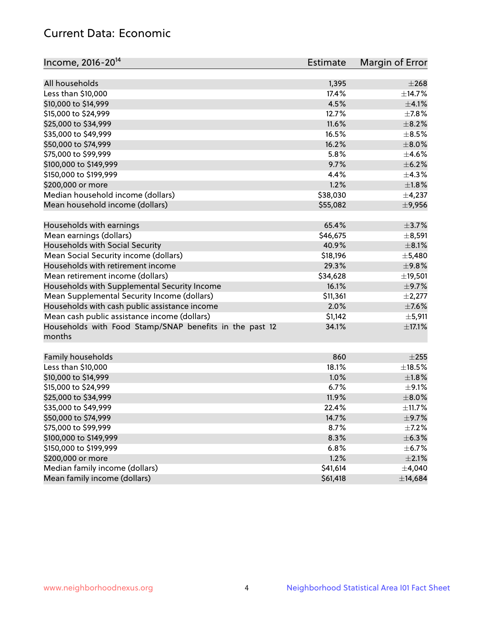## Current Data: Economic

| All households<br>$\pm 268$<br>1,395<br>Less than \$10,000<br>17.4%<br>±14.7%<br>4.5%<br>$\pm 4.1\%$<br>\$10,000 to \$14,999 | Income, 2016-20 <sup>14</sup> | <b>Estimate</b> | Margin of Error |
|------------------------------------------------------------------------------------------------------------------------------|-------------------------------|-----------------|-----------------|
|                                                                                                                              |                               |                 |                 |
|                                                                                                                              |                               |                 |                 |
|                                                                                                                              |                               |                 |                 |
|                                                                                                                              |                               |                 |                 |
| \$15,000 to \$24,999<br>12.7%                                                                                                |                               |                 | $\pm$ 7.8%      |
| \$25,000 to \$34,999<br>11.6%                                                                                                |                               |                 | $\pm$ 8.2%      |
| \$35,000 to \$49,999<br>16.5%                                                                                                |                               |                 | $\pm$ 8.5%      |
| \$50,000 to \$74,999<br>16.2%                                                                                                |                               |                 | $\pm$ 8.0%      |
| \$75,000 to \$99,999<br>5.8%                                                                                                 |                               |                 | $\pm 4.6\%$     |
| \$100,000 to \$149,999<br>9.7%                                                                                               |                               |                 | $\pm$ 6.2%      |
| 4.4%<br>\$150,000 to \$199,999                                                                                               |                               |                 | ±4.3%           |
| 1.2%<br>\$200,000 or more                                                                                                    |                               |                 | $\pm 1.8\%$     |
| Median household income (dollars)<br>\$38,030                                                                                |                               |                 | $\pm$ 4,237     |
| Mean household income (dollars)<br>\$55,082                                                                                  |                               |                 | $\pm$ 9,956     |
| Households with earnings<br>65.4%                                                                                            |                               |                 | $\pm$ 3.7%      |
| Mean earnings (dollars)<br>\$46,675                                                                                          |                               |                 | $\pm$ 8,591     |
| Households with Social Security<br>40.9%                                                                                     |                               |                 | $\pm$ 8.1%      |
| Mean Social Security income (dollars)<br>\$18,196                                                                            |                               |                 | $\pm$ 5,480     |
| Households with retirement income<br>29.3%                                                                                   |                               |                 | ±9.8%           |
| Mean retirement income (dollars)<br>\$34,628                                                                                 |                               |                 | ±19,501         |
| Households with Supplemental Security Income<br>16.1%                                                                        |                               |                 | $\pm$ 9.7%      |
| Mean Supplemental Security Income (dollars)<br>\$11,361                                                                      |                               |                 | $\pm 2,277$     |
| Households with cash public assistance income<br>2.0%                                                                        |                               |                 | $\pm$ 7.6%      |
| Mean cash public assistance income (dollars)<br>\$1,142                                                                      |                               |                 | $\pm$ 5,911     |
| Households with Food Stamp/SNAP benefits in the past 12<br>34.1%                                                             |                               |                 | $\pm$ 17.1%     |
| months                                                                                                                       |                               |                 |                 |
| Family households<br>860                                                                                                     |                               |                 | $\pm 255$       |
| Less than \$10,000<br>18.1%                                                                                                  |                               |                 | $\pm$ 18.5%     |
| 1.0%<br>\$10,000 to \$14,999                                                                                                 |                               |                 | $\pm1.8\%$      |
| \$15,000 to \$24,999<br>6.7%                                                                                                 |                               |                 | $\pm$ 9.1%      |
| \$25,000 to \$34,999<br>11.9%                                                                                                |                               |                 | $\pm$ 8.0%      |
| \$35,000 to \$49,999<br>22.4%                                                                                                |                               |                 | ±11.7%          |
| \$50,000 to \$74,999<br>14.7%                                                                                                |                               |                 | $\pm$ 9.7%      |
| \$75,000 to \$99,999<br>8.7%                                                                                                 |                               |                 | $\pm$ 7.2%      |
| \$100,000 to \$149,999<br>8.3%                                                                                               |                               |                 | ±6.3%           |
| \$150,000 to \$199,999<br>6.8%                                                                                               |                               |                 | $\pm$ 6.7%      |
| \$200,000 or more<br>1.2%                                                                                                    |                               |                 | $\pm 2.1\%$     |
| Median family income (dollars)<br>\$41,614                                                                                   |                               |                 | $\pm$ 4,040     |
| Mean family income (dollars)<br>\$61,418                                                                                     |                               |                 | ±14,684         |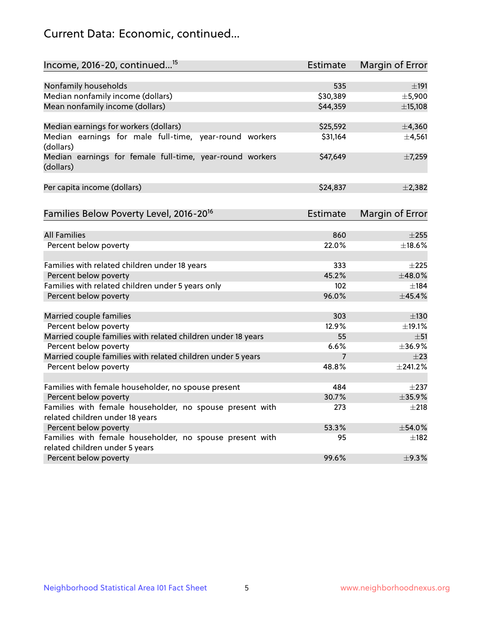## Current Data: Economic, continued...

| Income, 2016-20, continued <sup>15</sup>                              | <b>Estimate</b> | <b>Margin of Error</b> |
|-----------------------------------------------------------------------|-----------------|------------------------|
|                                                                       |                 |                        |
| Nonfamily households                                                  | 535             | ±191                   |
| Median nonfamily income (dollars)                                     | \$30,389        | ±5,900                 |
| Mean nonfamily income (dollars)                                       | \$44,359        | ±15,108                |
| Median earnings for workers (dollars)                                 | \$25,592        | ±4,360                 |
| Median earnings for male full-time, year-round workers<br>(dollars)   | \$31,164        | ±4,561                 |
| Median earnings for female full-time, year-round workers<br>(dollars) | \$47,649        | ±7,259                 |
| Per capita income (dollars)                                           | \$24,837        | $\pm$ 2,382            |
| Families Below Poverty Level, 2016-20 <sup>16</sup>                   | <b>Estimate</b> | <b>Margin of Error</b> |
|                                                                       |                 |                        |
| <b>All Families</b>                                                   | 860             | $\pm 255$              |
| Percent below poverty                                                 | 22.0%           | ±18.6%                 |
| Families with related children under 18 years                         | 333             | $\pm 225$              |
| Percent below poverty                                                 | 45.2%           | ±48.0%                 |
| Families with related children under 5 years only                     | 102             | $\pm$ 184              |
| Percent below poverty                                                 | 96.0%           | ±45.4%                 |
| Married couple families                                               | 303             | $\pm$ 130              |
| Percent below poverty                                                 | 12.9%           | ±19.1%                 |
| Married couple families with related children under 18 years          | 55              | $\pm$ 51               |
| Percent below poverty                                                 | 6.6%            | ±36.9%                 |
| Married couple families with related children under 5 years           | $\overline{7}$  | $\pm 23$               |
| Percent below poverty                                                 | 48.8%           | $±$ 241.2%             |
| Families with female householder, no spouse present                   | 484             | $\pm 237$              |
| Percent below poverty                                                 | 30.7%           | ±35.9%                 |
| Families with female householder, no spouse present with              | 273             | $+218$                 |
| related children under 18 years                                       |                 |                        |
| Percent below poverty                                                 | 53.3%           | ±54.0%                 |
| Families with female householder, no spouse present with              | 95              | $\pm$ 182              |
| related children under 5 years                                        |                 |                        |
| Percent below poverty                                                 | 99.6%           | ±9.3%                  |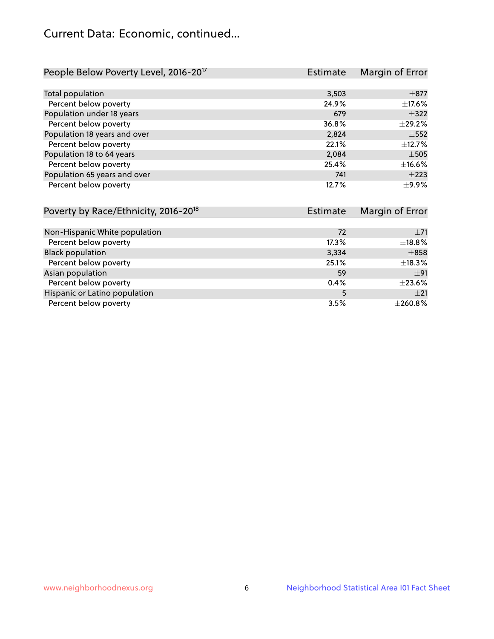## Current Data: Economic, continued...

| People Below Poverty Level, 2016-20 <sup>17</sup> | <b>Estimate</b> | Margin of Error |
|---------------------------------------------------|-----------------|-----------------|
|                                                   |                 |                 |
| Total population                                  | 3,503           | $\pm$ 877       |
| Percent below poverty                             | 24.9%           | $\pm$ 17.6%     |
| Population under 18 years                         | 679             | $\pm$ 322       |
| Percent below poverty                             | 36.8%           | ±29.2%          |
| Population 18 years and over                      | 2,824           | $\pm$ 552       |
| Percent below poverty                             | 22.1%           | ±12.7%          |
| Population 18 to 64 years                         | 2,084           | $\pm$ 505       |
| Percent below poverty                             | 25.4%           | ±16.6%          |
| Population 65 years and over                      | 741             | $\pm 223$       |
| Percent below poverty                             | 12.7%           | $\pm$ 9.9%      |

| Poverty by Race/Ethnicity, 2016-20 <sup>18</sup> | <b>Estimate</b> | Margin of Error |
|--------------------------------------------------|-----------------|-----------------|
|                                                  |                 |                 |
| Non-Hispanic White population                    | 72              | $\pm$ 71        |
| Percent below poverty                            | 17.3%           | ±18.8%          |
| <b>Black population</b>                          | 3,334           | $\pm858$        |
| Percent below poverty                            | 25.1%           | ±18.3%          |
| Asian population                                 | 59              | ±91             |
| Percent below poverty                            | 0.4%            | $\pm 23.6\%$    |
| Hispanic or Latino population                    | 5               | $+21$           |
| Percent below poverty                            | 3.5%            | ±260.8%         |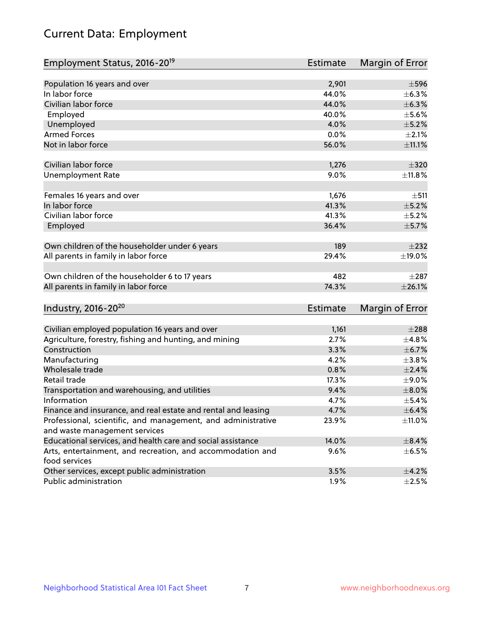# Current Data: Employment

| Employment Status, 2016-20 <sup>19</sup>                      | Estimate        | Margin of Error |
|---------------------------------------------------------------|-----------------|-----------------|
|                                                               |                 |                 |
| Population 16 years and over                                  | 2,901           | $\pm$ 596       |
| In labor force                                                | 44.0%           | $\pm$ 6.3%      |
| Civilian labor force                                          | 44.0%           | ±6.3%           |
| Employed                                                      | 40.0%           | $\pm$ 5.6%      |
| Unemployed                                                    | 4.0%            | $\pm$ 5.2%      |
| <b>Armed Forces</b>                                           | 0.0%            | $\pm 2.1\%$     |
| Not in labor force                                            | 56.0%           | $\pm$ 11.1%     |
| Civilian labor force                                          | 1,276           | $\pm$ 320       |
| <b>Unemployment Rate</b>                                      | 9.0%            | ±11.8%          |
|                                                               |                 |                 |
| Females 16 years and over                                     | 1,676           | ±511            |
| In labor force                                                | 41.3%           | $\pm$ 5.2%      |
| Civilian labor force                                          | 41.3%           | $\pm$ 5.2%      |
| Employed                                                      | 36.4%           | $\pm$ 5.7%      |
|                                                               |                 |                 |
| Own children of the householder under 6 years                 | 189             | $\pm 232$       |
| All parents in family in labor force                          | 29.4%           | ±19.0%          |
| Own children of the householder 6 to 17 years                 | 482             | $\pm 287$       |
| All parents in family in labor force                          | 74.3%           | $\pm 26.1\%$    |
|                                                               |                 |                 |
| Industry, 2016-20 <sup>20</sup>                               | <b>Estimate</b> | Margin of Error |
| Civilian employed population 16 years and over                | 1,161           | $\pm 288$       |
| Agriculture, forestry, fishing and hunting, and mining        | 2.7%            | ±4.8%           |
| Construction                                                  | 3.3%            | $\pm$ 6.7%      |
| Manufacturing                                                 | 4.2%            | $\pm$ 3.8%      |
| Wholesale trade                                               | 0.8%            | $\pm 2.4\%$     |
| Retail trade                                                  | 17.3%           | $\pm$ 9.0%      |
| Transportation and warehousing, and utilities                 | 9.4%            | $\pm$ 8.0%      |
| Information                                                   | 4.7%            | $\pm$ 5.4%      |
| Finance and insurance, and real estate and rental and leasing | 4.7%            | $\pm$ 6.4%      |
| Professional, scientific, and management, and administrative  | 23.9%           | $\pm$ 11.0%     |
| and waste management services                                 |                 |                 |
| Educational services, and health care and social assistance   | 14.0%           | ±8.4%           |
| Arts, entertainment, and recreation, and accommodation and    | 9.6%            | $\pm$ 6.5%      |
| food services                                                 |                 |                 |
| Other services, except public administration                  | 3.5%            | $\pm$ 4.2%      |
| Public administration                                         | 1.9%            | $\pm 2.5\%$     |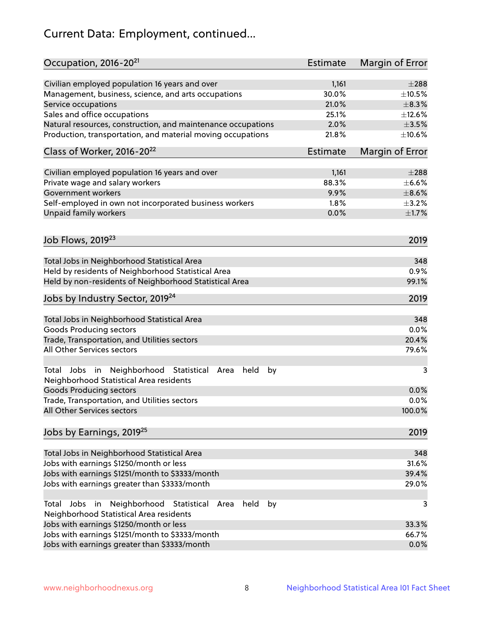# Current Data: Employment, continued...

| Occupation, 2016-20 <sup>21</sup>                                                                       | <b>Estimate</b> | Margin of Error |
|---------------------------------------------------------------------------------------------------------|-----------------|-----------------|
| Civilian employed population 16 years and over                                                          | 1,161           | $\pm 288$       |
| Management, business, science, and arts occupations                                                     | 30.0%           | $\pm 10.5\%$    |
| Service occupations                                                                                     | 21.0%           | $\pm$ 8.3%      |
| Sales and office occupations                                                                            | 25.1%           | ±12.6%          |
| Natural resources, construction, and maintenance occupations                                            | 2.0%            | $\pm 3.5\%$     |
| Production, transportation, and material moving occupations                                             | 21.8%           | ±10.6%          |
| Class of Worker, 2016-20 <sup>22</sup>                                                                  | <b>Estimate</b> | Margin of Error |
| Civilian employed population 16 years and over                                                          | 1,161           | $\pm 288$       |
| Private wage and salary workers                                                                         | 88.3%           | $\pm$ 6.6%      |
| Government workers                                                                                      | 9.9%            | $\pm$ 8.6%      |
| Self-employed in own not incorporated business workers                                                  | 1.8%            | $\pm$ 3.2%      |
| Unpaid family workers                                                                                   | 0.0%            | $\pm1.7\%$      |
|                                                                                                         |                 |                 |
| Job Flows, 2019 <sup>23</sup>                                                                           |                 | 2019            |
| Total Jobs in Neighborhood Statistical Area                                                             |                 | 348             |
| Held by residents of Neighborhood Statistical Area                                                      |                 | 0.9%            |
| Held by non-residents of Neighborhood Statistical Area                                                  |                 | 99.1%           |
| Jobs by Industry Sector, 2019 <sup>24</sup>                                                             |                 | 2019            |
| Total Jobs in Neighborhood Statistical Area                                                             |                 | 348             |
| <b>Goods Producing sectors</b>                                                                          |                 | 0.0%            |
| Trade, Transportation, and Utilities sectors                                                            |                 | 20.4%           |
| All Other Services sectors                                                                              |                 | 79.6%           |
| Total Jobs in Neighborhood Statistical<br>held<br>by<br>Area<br>Neighborhood Statistical Area residents |                 | 3               |
| <b>Goods Producing sectors</b>                                                                          |                 | 0.0%            |
| Trade, Transportation, and Utilities sectors                                                            |                 | 0.0%            |
| All Other Services sectors                                                                              |                 | 100.0%          |
| Jobs by Earnings, 2019 <sup>25</sup>                                                                    |                 | 2019            |
| Total Jobs in Neighborhood Statistical Area                                                             |                 | 348             |
| Jobs with earnings \$1250/month or less                                                                 |                 | 31.6%           |
| Jobs with earnings \$1251/month to \$3333/month                                                         |                 | 39.4%           |
| Jobs with earnings greater than \$3333/month                                                            |                 | 29.0%           |
| Neighborhood Statistical<br>Jobs<br>in<br>held<br>by<br>Total<br>Area                                   |                 | 3               |
| Neighborhood Statistical Area residents                                                                 |                 |                 |
| Jobs with earnings \$1250/month or less                                                                 |                 | 33.3%           |
| Jobs with earnings \$1251/month to \$3333/month                                                         |                 | 66.7%           |
| Jobs with earnings greater than \$3333/month                                                            |                 | 0.0%            |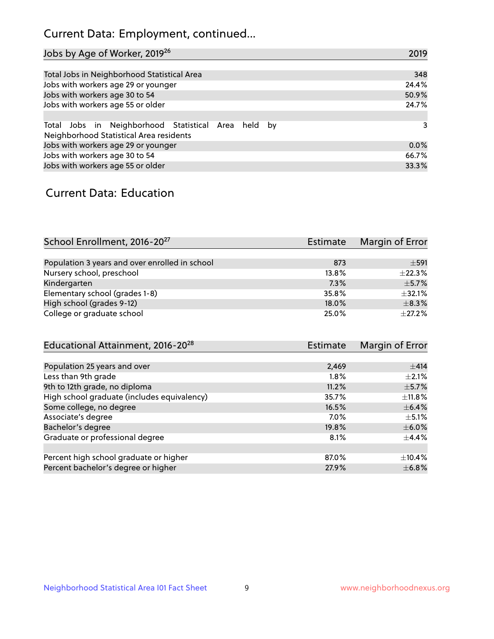## Current Data: Employment, continued...

| Jobs by Age of Worker, 2019 <sup>26</sup>                                                      | 2019  |
|------------------------------------------------------------------------------------------------|-------|
|                                                                                                |       |
| Total Jobs in Neighborhood Statistical Area                                                    | 348   |
| Jobs with workers age 29 or younger                                                            | 24.4% |
| Jobs with workers age 30 to 54                                                                 | 50.9% |
| Jobs with workers age 55 or older                                                              | 24.7% |
|                                                                                                |       |
| Total Jobs in Neighborhood Statistical Area held by<br>Neighborhood Statistical Area residents | 3     |
| Jobs with workers age 29 or younger                                                            | 0.0%  |
| Jobs with workers age 30 to 54                                                                 | 66.7% |
| Jobs with workers age 55 or older                                                              | 33.3% |

### Current Data: Education

| School Enrollment, 2016-20 <sup>27</sup>       | <b>Estimate</b> | Margin of Error |
|------------------------------------------------|-----------------|-----------------|
|                                                |                 |                 |
| Population 3 years and over enrolled in school | 873             | $\pm$ 591       |
| Nursery school, preschool                      | 13.8%           | ±22.3%          |
| Kindergarten                                   | 7.3%            | $+5.7%$         |
| Elementary school (grades 1-8)                 | 35.8%           | $+32.1%$        |
| High school (grades 9-12)                      | 18.0%           | $\pm$ 8.3%      |
| College or graduate school                     | 25.0%           | $\pm 27.2\%$    |

| <b>Estimate</b> | Margin of Error |
|-----------------|-----------------|
|                 |                 |
| 2,469           | $\pm$ 414       |
| 1.8%            | $\pm 2.1\%$     |
| 11.2%           | $\pm$ 5.7%      |
| 35.7%           | $\pm$ 11.8%     |
| 16.5%           | $\pm$ 6.4%      |
| 7.0%            | $\pm$ 5.1%      |
| 19.8%           | $\pm$ 6.0%      |
| 8.1%            | $\pm$ 4.4%      |
|                 |                 |
| 87.0%           | $+10.4%$        |
| 27.9%           | $\pm$ 6.8%      |
|                 |                 |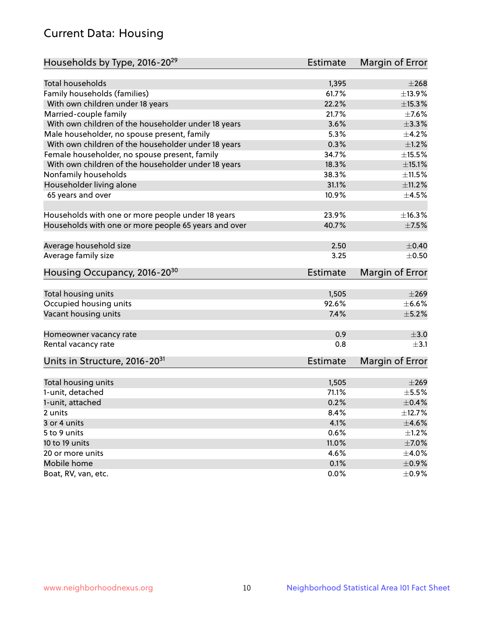## Current Data: Housing

| Households by Type, 2016-20 <sup>29</sup>            | Estimate        | Margin of Error |
|------------------------------------------------------|-----------------|-----------------|
|                                                      |                 |                 |
| Total households                                     | 1,395           | $\pm 268$       |
| Family households (families)                         | 61.7%           | ±13.9%          |
| With own children under 18 years                     | 22.2%           | $\pm$ 15.3%     |
| Married-couple family                                | 21.7%           | $\pm$ 7.6%      |
| With own children of the householder under 18 years  | 3.6%            | $\pm$ 3.3%      |
| Male householder, no spouse present, family          | 5.3%            | $\pm$ 4.2%      |
| With own children of the householder under 18 years  | 0.3%            | $\pm 1.2\%$     |
| Female householder, no spouse present, family        | 34.7%           | $\pm$ 15.5%     |
| With own children of the householder under 18 years  | 18.3%           | $\pm$ 15.1%     |
| Nonfamily households                                 | 38.3%           | $\pm 11.5\%$    |
| Householder living alone                             | 31.1%           | ±11.2%          |
| 65 years and over                                    | 10.9%           | $\pm$ 4.5%      |
|                                                      |                 |                 |
| Households with one or more people under 18 years    | 23.9%           | ±16.3%          |
| Households with one or more people 65 years and over | 40.7%           | $\pm$ 7.5%      |
| Average household size                               | 2.50            | $\pm$ 0.40      |
| Average family size                                  | 3.25            | $\pm$ 0.50      |
|                                                      |                 |                 |
| Housing Occupancy, 2016-20 <sup>30</sup>             | <b>Estimate</b> | Margin of Error |
| Total housing units                                  | 1,505           | $\pm 269$       |
| Occupied housing units                               | 92.6%           | $\pm$ 6.6%      |
| Vacant housing units                                 | 7.4%            | $\pm$ 5.2%      |
|                                                      |                 |                 |
| Homeowner vacancy rate                               | 0.9             | $\pm 3.0$       |
| Rental vacancy rate                                  | 0.8             | $\pm$ 3.1       |
| Units in Structure, 2016-20 <sup>31</sup>            | Estimate        | Margin of Error |
|                                                      |                 |                 |
| Total housing units                                  | 1,505           | $\pm 269$       |
| 1-unit, detached                                     | 71.1%           | $\pm$ 5.5%      |
| 1-unit, attached                                     | 0.2%            | $\pm$ 0.4%      |
| 2 units                                              | 8.4%            | ±12.7%          |
| 3 or 4 units                                         | 4.1%            | $\pm 4.6\%$     |
| 5 to 9 units                                         | 0.6%            | $\pm 1.2\%$     |
| 10 to 19 units                                       | 11.0%           | $\pm$ 7.0%      |
| 20 or more units                                     | 4.6%            | $\pm$ 4.0%      |
| Mobile home                                          | 0.1%            | $\pm$ 0.9%      |
| Boat, RV, van, etc.                                  | $0.0\%$         | $\pm$ 0.9%      |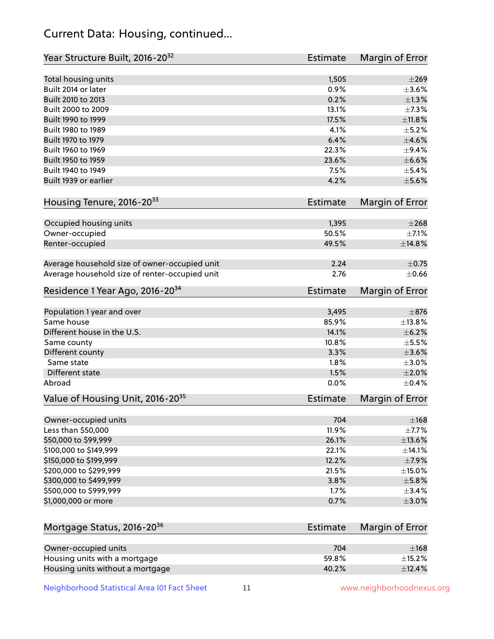## Current Data: Housing, continued...

| Year Structure Built, 2016-20 <sup>32</sup>    | <b>Estimate</b> | Margin of Error |
|------------------------------------------------|-----------------|-----------------|
| Total housing units                            | 1,505           | $\pm 269$       |
| Built 2014 or later                            | 0.9%            | $\pm 3.6\%$     |
| Built 2010 to 2013                             | 0.2%            | $\pm 1.3\%$     |
| Built 2000 to 2009                             | 13.1%           | ±7.3%           |
| Built 1990 to 1999                             | 17.5%           | $\pm$ 11.8%     |
| Built 1980 to 1989                             | 4.1%            | $\pm$ 5.2%      |
| Built 1970 to 1979                             | 6.4%            | $\pm 4.6\%$     |
| Built 1960 to 1969                             | 22.3%           | $\pm$ 9.4%      |
| Built 1950 to 1959                             | 23.6%           | $\pm$ 6.6%      |
| Built 1940 to 1949                             | 7.5%            | $\pm$ 5.4%      |
| Built 1939 or earlier                          | 4.2%            | $\pm$ 5.6%      |
|                                                |                 |                 |
| Housing Tenure, 2016-2033                      | <b>Estimate</b> | Margin of Error |
| Occupied housing units                         | 1,395           | $\pm 268$       |
| Owner-occupied                                 | 50.5%           | $\pm$ 7.1%      |
| Renter-occupied                                | 49.5%           | ±14.8%          |
|                                                |                 |                 |
| Average household size of owner-occupied unit  | 2.24            | $\pm$ 0.75      |
| Average household size of renter-occupied unit | 2.76            | $\pm$ 0.66      |
| Residence 1 Year Ago, 2016-20 <sup>34</sup>    | <b>Estimate</b> | Margin of Error |
|                                                |                 |                 |
| Population 1 year and over                     | 3,495           | $\pm$ 876       |
| Same house                                     | 85.9%           | ±13.8%          |
| Different house in the U.S.                    | 14.1%           | $\pm$ 6.2%      |
| Same county                                    | 10.8%           | $\pm$ 5.5%      |
| Different county                               | 3.3%            | $\pm 3.6\%$     |
| Same state                                     | 1.8%            | $\pm 3.0\%$     |
| <b>Different state</b>                         | 1.5%            | $\pm 2.0\%$     |
| Abroad                                         | 0.0%            | $\pm$ 0.4%      |
| Value of Housing Unit, 2016-20 <sup>35</sup>   | <b>Estimate</b> | Margin of Error |
| Owner-occupied units                           | 704             | $\pm$ 168       |
| Less than \$50,000                             | 11.9%           | $\pm$ 7.7%      |
| \$50,000 to \$99,999                           | 26.1%           | $\pm$ 13.6%     |
| \$100,000 to \$149,999                         | 22.1%           | ±14.1%          |
| \$150,000 to \$199,999                         | 12.2%           | $\pm$ 7.9%      |
| \$200,000 to \$299,999                         | 21.5%           | $\pm$ 15.0%     |
| \$300,000 to \$499,999                         | 3.8%            | $\pm$ 5.8%      |
|                                                |                 | ±3.4%           |
| \$500,000 to \$999,999                         | 1.7%            | $\pm 3.0\%$     |
| \$1,000,000 or more                            | 0.7%            |                 |
| Mortgage Status, 2016-20 <sup>36</sup>         | <b>Estimate</b> | Margin of Error |
|                                                |                 |                 |
| Owner-occupied units                           | 704             | $\pm$ 168       |
| Housing units with a mortgage                  | 59.8%           | $\pm$ 15.2%     |
| Housing units without a mortgage               | 40.2%           | ±12.4%          |

Neighborhood Statistical Area I01 Fact Sheet 11 11 www.neighborhoodnexus.org

Housing units without a mortgage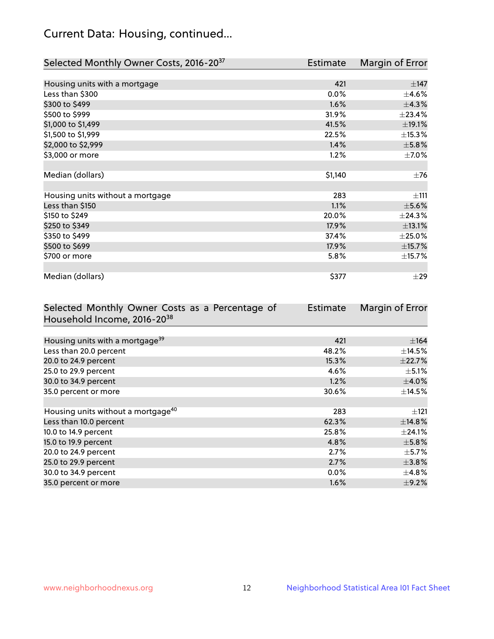## Current Data: Housing, continued...

| Selected Monthly Owner Costs, 2016-20 <sup>37</sup> | Estimate | Margin of Error |
|-----------------------------------------------------|----------|-----------------|
|                                                     |          |                 |
| Housing units with a mortgage                       | 421      | $\pm$ 147       |
| Less than \$300                                     | 0.0%     | $\pm$ 4.6%      |
| \$300 to \$499                                      | 1.6%     | ±4.3%           |
| \$500 to \$999                                      | 31.9%    | ±23.4%          |
| \$1,000 to \$1,499                                  | 41.5%    | ±19.1%          |
| \$1,500 to \$1,999                                  | 22.5%    | $\pm$ 15.3%     |
| \$2,000 to \$2,999                                  | 1.4%     | ±5.8%           |
| \$3,000 or more                                     | 1.2%     | $\pm$ 7.0%      |
|                                                     |          |                 |
| Median (dollars)                                    | \$1,140  | $\pm$ 76        |
|                                                     |          |                 |
| Housing units without a mortgage                    | 283      | ±111            |
| Less than \$150                                     | 1.1%     | $\pm$ 5.6%      |
| \$150 to \$249                                      | 20.0%    | ±24.3%          |
| \$250 to \$349                                      | 17.9%    | ±13.1%          |
| \$350 to \$499                                      | 37.4%    | $\pm 25.0\%$    |
| \$500 to \$699                                      | 17.9%    | ±15.7%          |
| \$700 or more                                       | 5.8%     | ±15.7%          |
|                                                     |          |                 |
| Median (dollars)                                    | \$377    | $\pm 29$        |

| Selected Monthly Owner Costs as a Percentage of | <b>Estimate</b> | Margin of Error |
|-------------------------------------------------|-----------------|-----------------|
| Household Income, 2016-20 <sup>38</sup>         |                 |                 |
|                                                 |                 |                 |
| Housing units with a mortgage <sup>39</sup>     | 421             | $\pm$ 164       |
| Less than 20.0 percent                          | 48.2%           | $\pm$ 14.5%     |
| 20.0 to 24.9 percent                            | 15.3%           | ±22.7%          |
| 25.0 to 29.9 percent                            | 4.6%            | $\pm$ 5.1%      |
| 30.0 to 34.9 percent                            | 1.2%            | $\pm$ 4.0%      |
| 35.0 percent or more                            | 30.6%           | $\pm$ 14.5%     |
|                                                 |                 |                 |
| Housing units without a mortgage <sup>40</sup>  | 283             | $\pm 121$       |
| Less than 10.0 percent                          | 62.3%           | ±14.8%          |
| 10.0 to 14.9 percent                            | 25.8%           | $\pm$ 24.1%     |
| 15.0 to 19.9 percent                            | 4.8%            | $\pm$ 5.8%      |
| 20.0 to 24.9 percent                            | 2.7%            | $\pm$ 5.7%      |
| 25.0 to 29.9 percent                            | 2.7%            | $\pm$ 3.8%      |
| 30.0 to 34.9 percent                            | $0.0\%$         | $\pm$ 4.8%      |
| 35.0 percent or more                            | 1.6%            | $\pm$ 9.2%      |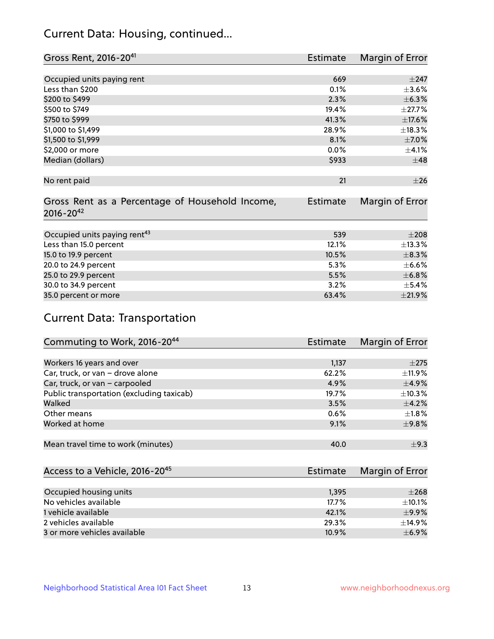## Current Data: Housing, continued...

| Gross Rent, 2016-20 <sup>41</sup>               | <b>Estimate</b> | Margin of Error |
|-------------------------------------------------|-----------------|-----------------|
|                                                 |                 |                 |
| Occupied units paying rent                      | 669             | $\pm$ 247       |
| Less than \$200                                 | 0.1%            | $\pm 3.6\%$     |
| \$200 to \$499                                  | 2.3%            | ±6.3%           |
| \$500 to \$749                                  | 19.4%           | $\pm$ 27.7%     |
| \$750 to \$999                                  | 41.3%           | ±17.6%          |
| \$1,000 to \$1,499                              | 28.9%           | ±18.3%          |
| \$1,500 to \$1,999                              | 8.1%            | $\pm$ 7.0%      |
| \$2,000 or more                                 | 0.0%            | $\pm 4.1\%$     |
| Median (dollars)                                | \$933           | $\pm$ 48        |
|                                                 |                 |                 |
| No rent paid                                    | 21              | $\pm 26$        |
|                                                 |                 |                 |
| Gross Rent as a Percentage of Household Income, | <b>Estimate</b> | Margin of Error |
| $2016 - 20^{42}$                                |                 |                 |
|                                                 |                 |                 |
| Occupied units paying rent <sup>43</sup>        | 539             | $\pm 208$       |
| Less than 15.0 percent                          | 12.1%           | ±13.3%          |
| 15.0 to 19.9 percent                            | 10.5%           | $\pm$ 8.3%      |
| 20.0 to 24.9 percent                            | 5.3%            | $\pm$ 6.6%      |
| 25.0 to 29.9 percent                            | 5.5%            | ±6.8%           |
| 30.0 to 34.9 percent                            | 3.2%            | $\pm$ 5.4%      |
| 35.0 percent or more                            | 63.4%           | $\pm 21.9\%$    |

# Current Data: Transportation

| Commuting to Work, 2016-20 <sup>44</sup>  | <b>Estimate</b> | Margin of Error |
|-------------------------------------------|-----------------|-----------------|
|                                           |                 |                 |
| Workers 16 years and over                 | 1,137           | $\pm 275$       |
| Car, truck, or van - drove alone          | 62.2%           | $\pm$ 11.9%     |
| Car, truck, or van - carpooled            | 4.9%            | $\pm$ 4.9%      |
| Public transportation (excluding taxicab) | 19.7%           | $\pm$ 10.3%     |
| Walked                                    | 3.5%            | $\pm$ 4.2%      |
| Other means                               | 0.6%            | $\pm 1.8\%$     |
| Worked at home                            | 9.1%            | $\pm$ 9.8%      |
|                                           |                 |                 |
| Mean travel time to work (minutes)        | 40.0            | $\pm$ 9.3       |

| Access to a Vehicle, 2016-20 <sup>45</sup> | <b>Estimate</b> | Margin of Error |
|--------------------------------------------|-----------------|-----------------|
|                                            |                 |                 |
| Occupied housing units                     | 1,395           | $\pm 268$       |
| No vehicles available                      | 17.7%           | $\pm$ 10.1%     |
| 1 vehicle available                        | 42.1%           | $\pm$ 9.9%      |
| 2 vehicles available                       | 29.3%           | ±14.9%          |
| 3 or more vehicles available               | 10.9%           | $+6.9%$         |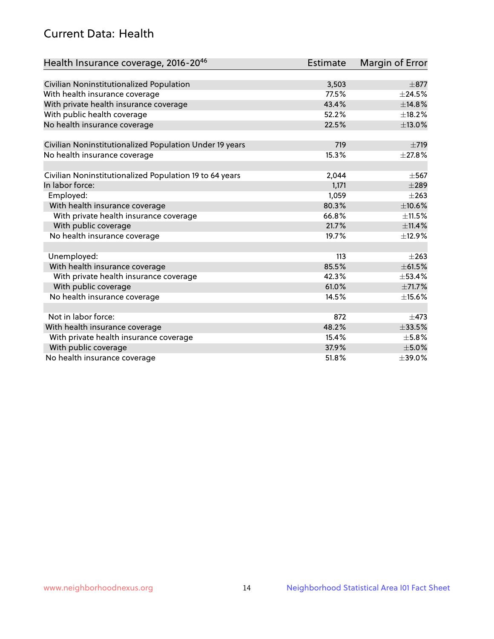## Current Data: Health

| Health Insurance coverage, 2016-2046                    | Estimate | <b>Margin of Error</b> |
|---------------------------------------------------------|----------|------------------------|
|                                                         |          |                        |
| Civilian Noninstitutionalized Population                | 3,503    | $\pm$ 877              |
| With health insurance coverage                          | 77.5%    | $\pm$ 24.5%            |
| With private health insurance coverage                  | 43.4%    | ±14.8%                 |
| With public health coverage                             | 52.2%    | $\pm$ 18.2%            |
| No health insurance coverage                            | 22.5%    | ±13.0%                 |
| Civilian Noninstitutionalized Population Under 19 years | 719      | $\pm 719$              |
| No health insurance coverage                            | 15.3%    | ±27.8%                 |
|                                                         |          |                        |
| Civilian Noninstitutionalized Population 19 to 64 years | 2,044    | $\pm$ 567              |
| In labor force:                                         | 1,171    | $\pm 289$              |
| Employed:                                               | 1,059    | $\pm 263$              |
| With health insurance coverage                          | 80.3%    | $\pm 10.6\%$           |
| With private health insurance coverage                  | 66.8%    | $\pm$ 11.5%            |
| With public coverage                                    | 21.7%    | ±11.4%                 |
| No health insurance coverage                            | 19.7%    | ±12.9%                 |
|                                                         |          |                        |
| Unemployed:                                             | 113      | $+263$                 |
| With health insurance coverage                          | 85.5%    | ±61.5%                 |
| With private health insurance coverage                  | 42.3%    | $\pm$ 53.4%            |
| With public coverage                                    | 61.0%    | ±71.7%                 |
| No health insurance coverage                            | 14.5%    | $\pm$ 15.6%            |
|                                                         |          |                        |
| Not in labor force:                                     | 872      | $\pm$ 473              |
| With health insurance coverage                          | 48.2%    | $\pm 33.5\%$           |
| With private health insurance coverage                  | 15.4%    | $\pm$ 5.8%             |
| With public coverage                                    | 37.9%    | $\pm$ 5.0%             |
| No health insurance coverage                            | 51.8%    | ±39.0%                 |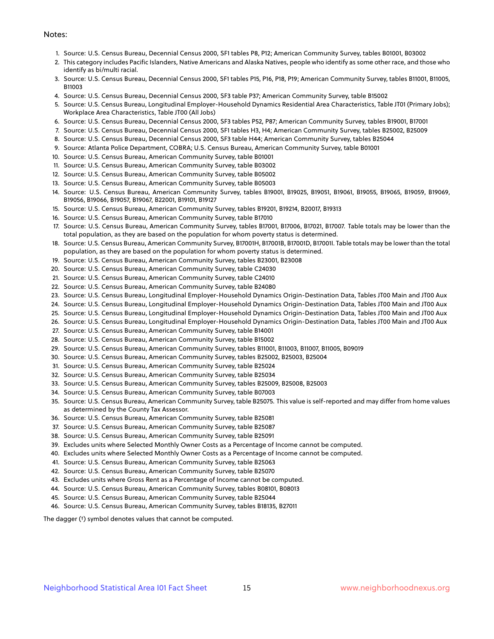#### Notes:

- 1. Source: U.S. Census Bureau, Decennial Census 2000, SF1 tables P8, P12; American Community Survey, tables B01001, B03002
- 2. This category includes Pacific Islanders, Native Americans and Alaska Natives, people who identify as some other race, and those who identify as bi/multi racial.
- 3. Source: U.S. Census Bureau, Decennial Census 2000, SF1 tables P15, P16, P18, P19; American Community Survey, tables B11001, B11005, B11003
- 4. Source: U.S. Census Bureau, Decennial Census 2000, SF3 table P37; American Community Survey, table B15002
- 5. Source: U.S. Census Bureau, Longitudinal Employer-Household Dynamics Residential Area Characteristics, Table JT01 (Primary Jobs); Workplace Area Characteristics, Table JT00 (All Jobs)
- 6. Source: U.S. Census Bureau, Decennial Census 2000, SF3 tables P52, P87; American Community Survey, tables B19001, B17001
- 7. Source: U.S. Census Bureau, Decennial Census 2000, SF1 tables H3, H4; American Community Survey, tables B25002, B25009
- 8. Source: U.S. Census Bureau, Decennial Census 2000, SF3 table H44; American Community Survey, tables B25044
- 9. Source: Atlanta Police Department, COBRA; U.S. Census Bureau, American Community Survey, table B01001
- 10. Source: U.S. Census Bureau, American Community Survey, table B01001
- 11. Source: U.S. Census Bureau, American Community Survey, table B03002
- 12. Source: U.S. Census Bureau, American Community Survey, table B05002
- 13. Source: U.S. Census Bureau, American Community Survey, table B05003
- 14. Source: U.S. Census Bureau, American Community Survey, tables B19001, B19025, B19051, B19061, B19055, B19065, B19059, B19069, B19056, B19066, B19057, B19067, B22001, B19101, B19127
- 15. Source: U.S. Census Bureau, American Community Survey, tables B19201, B19214, B20017, B19313
- 16. Source: U.S. Census Bureau, American Community Survey, table B17010
- 17. Source: U.S. Census Bureau, American Community Survey, tables B17001, B17006, B17021, B17007. Table totals may be lower than the total population, as they are based on the population for whom poverty status is determined.
- 18. Source: U.S. Census Bureau, American Community Survey, B17001H, B17001B, B17001D, B17001I. Table totals may be lower than the total population, as they are based on the population for whom poverty status is determined.
- 19. Source: U.S. Census Bureau, American Community Survey, tables B23001, B23008
- 20. Source: U.S. Census Bureau, American Community Survey, table C24030
- 21. Source: U.S. Census Bureau, American Community Survey, table C24010
- 22. Source: U.S. Census Bureau, American Community Survey, table B24080
- 23. Source: U.S. Census Bureau, Longitudinal Employer-Household Dynamics Origin-Destination Data, Tables JT00 Main and JT00 Aux
- 24. Source: U.S. Census Bureau, Longitudinal Employer-Household Dynamics Origin-Destination Data, Tables JT00 Main and JT00 Aux
- 25. Source: U.S. Census Bureau, Longitudinal Employer-Household Dynamics Origin-Destination Data, Tables JT00 Main and JT00 Aux
- 26. Source: U.S. Census Bureau, Longitudinal Employer-Household Dynamics Origin-Destination Data, Tables JT00 Main and JT00 Aux
- 27. Source: U.S. Census Bureau, American Community Survey, table B14001
- 28. Source: U.S. Census Bureau, American Community Survey, table B15002
- 29. Source: U.S. Census Bureau, American Community Survey, tables B11001, B11003, B11007, B11005, B09019
- 30. Source: U.S. Census Bureau, American Community Survey, tables B25002, B25003, B25004
- 31. Source: U.S. Census Bureau, American Community Survey, table B25024
- 32. Source: U.S. Census Bureau, American Community Survey, table B25034
- 33. Source: U.S. Census Bureau, American Community Survey, tables B25009, B25008, B25003
- 34. Source: U.S. Census Bureau, American Community Survey, table B07003
- 35. Source: U.S. Census Bureau, American Community Survey, table B25075. This value is self-reported and may differ from home values as determined by the County Tax Assessor.
- 36. Source: U.S. Census Bureau, American Community Survey, table B25081
- 37. Source: U.S. Census Bureau, American Community Survey, table B25087
- 38. Source: U.S. Census Bureau, American Community Survey, table B25091
- 39. Excludes units where Selected Monthly Owner Costs as a Percentage of Income cannot be computed.
- 40. Excludes units where Selected Monthly Owner Costs as a Percentage of Income cannot be computed.
- 41. Source: U.S. Census Bureau, American Community Survey, table B25063
- 42. Source: U.S. Census Bureau, American Community Survey, table B25070
- 43. Excludes units where Gross Rent as a Percentage of Income cannot be computed.
- 44. Source: U.S. Census Bureau, American Community Survey, tables B08101, B08013
- 45. Source: U.S. Census Bureau, American Community Survey, table B25044
- 46. Source: U.S. Census Bureau, American Community Survey, tables B18135, B27011

The dagger (†) symbol denotes values that cannot be computed.